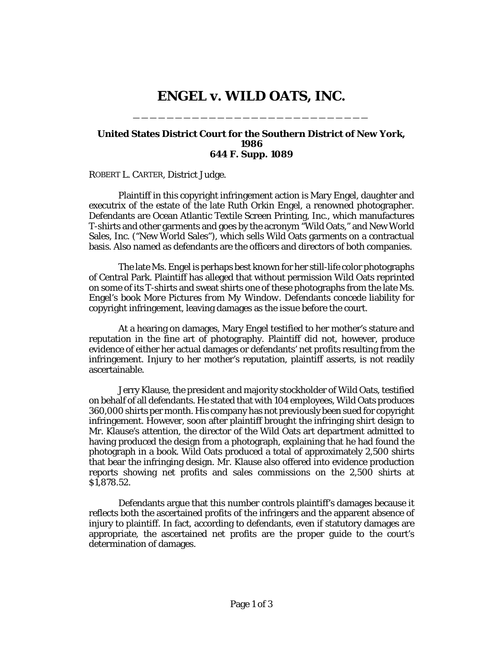## **ENGEL v. WILD OATS, INC.**

\_\_\_\_\_\_\_\_\_\_\_\_\_\_\_\_\_\_\_\_\_\_\_\_\_\_\_\_

## **United States District Court for the Southern District of New York, 1986 644 F. Supp. 1089**

ROBERT L. CARTER, District Judge.

Plaintiff in this copyright infringement action is Mary Engel, daughter and executrix of the estate of the late Ruth Orkin Engel, a renowned photographer. Defendants are Ocean Atlantic Textile Screen Printing, Inc., which manufactures T-shirts and other garments and goes by the acronym "Wild Oats," and New World Sales, Inc. ("New World Sales"), which sells Wild Oats garments on a contractual basis. Also named as defendants are the officers and directors of both companies.

The late Ms. Engel is perhaps best known for her still-life color photographs of Central Park. Plaintiff has alleged that without permission Wild Oats reprinted on some of its T-shirts and sweat shirts one of these photographs from the late Ms. Engel's book *More Pictures from My Window.* Defendants concede liability for copyright infringement, leaving damages as the issue before the court.

At a hearing on damages, Mary Engel testified to her mother's stature and reputation in the fine art of photography. Plaintiff did not, however, produce evidence of either her actual damages or defendants' net profits resulting from the infringement. Injury to her mother's reputation, plaintiff asserts, is not readily ascertainable.

Jerry Klause, the president and majority stockholder of Wild Oats, testified on behalf of all defendants. He stated that with 104 employees, Wild Oats produces 360,000 shirts per month. His company has not previously been sued for copyright infringement. However, soon after plaintiff brought the infringing shirt design to Mr. Klause's attention, the director of the Wild Oats art department admitted to having produced the design from a photograph, explaining that he had found the photograph in a book. Wild Oats produced a total of approximately 2,500 shirts that bear the infringing design. Mr. Klause also offered into evidence production reports showing net profits and sales commissions on the 2,500 shirts at \$1,878.52.

Defendants argue that this number controls plaintiff's damages because it reflects both the ascertained profits of the infringers and the apparent absence of injury to plaintiff. In fact, according to defendants, even if statutory damages are appropriate, the ascertained net profits are the proper guide to the court's determination of damages.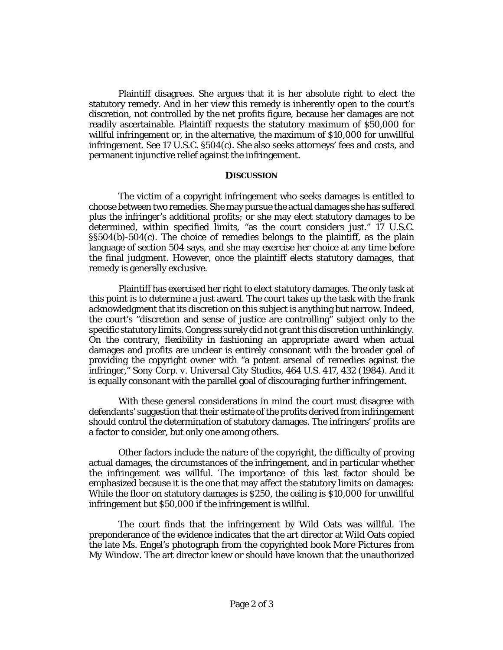Plaintiff disagrees. She argues that it is her absolute right to elect the statutory remedy. And in her view this remedy is inherently open to the court's discretion, not controlled by the net profits figure, because her damages are not readily ascertainable. Plaintiff requests the statutory maximum of \$50,000 for willful infringement or, in the alternative, the maximum of \$10,000 for unwillful infringement. *See* 17 U.S.C. §504(c). She also seeks attorneys' fees and costs, and permanent injunctive relief against the infringement.

## **DISCUSSION**

The victim of a copyright infringement who seeks damages is entitled to choose between two remedies. She may pursue the actual damages she has suffered plus the infringer's additional profits; or she may elect statutory damages to be determined, within specified limits, "as the court considers just." 17 U.S.C. §§504(b)-504(c). The choice of remedies belongs to the plaintiff, as the plain language of section 504 says, and she may exercise her choice at any time before the final judgment. However, once the plaintiff elects statutory damages, that remedy is generally exclusive.

Plaintiff has exercised her right to elect statutory damages. The only task at this point is to determine a just award. The court takes up the task with the frank acknowledgment that its discretion on this subject is anything but narrow. Indeed, the court's "discretion and sense of justice are controlling" subject only to the specific statutory limits. Congress surely did not grant this discretion unthinkingly. On the contrary, flexibility in fashioning an appropriate award when actual damages and profits are unclear is entirely consonant with the broader goal of providing the copyright owner with "a potent arsenal of remedies against the infringer," *Sony Corp. v. Universal City Studios*, 464 U.S. 417, 432 (1984). And it is equally consonant with the parallel goal of discouraging further infringement.

With these general considerations in mind the court must disagree with defendants' suggestion that their estimate of the profits derived from infringement should control the determination of statutory damages. The infringers' profits are a factor to consider, but only one among others.

Other factors include the nature of the copyright, the difficulty of proving actual damages, the circumstances of the infringement, and in particular whether the infringement was willful. The importance of this last factor should be emphasized because it is the one that may affect the statutory limits on damages: While the floor on statutory damages is \$250, the ceiling is \$10,000 for unwillful infringement but \$50,000 if the infringement is willful.

The court finds that the infringement by Wild Oats was willful. The preponderance of the evidence indicates that the art director at Wild Oats copied the late Ms. Engel's photograph from the copyrighted book *More Pictures from My Window.* The art director knew or should have known that the unauthorized